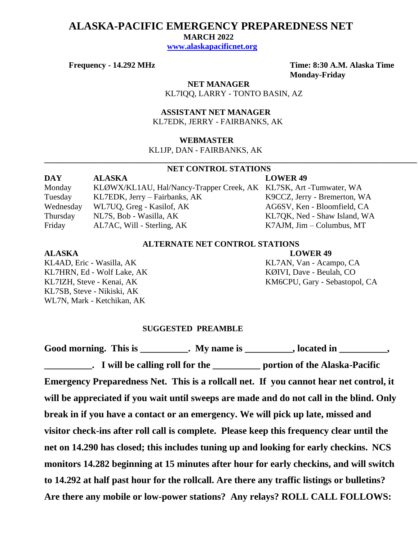## **ALASKA-PACIFIC EMERGENCY PREPAREDNESS NET**

 **MARCH 2022**

 **[www.alaskapacificnet.org](http://www.alaskapacificnet.org/)**

**Frequency - 14.292 MHz Time: 8:30 A.M. Alaska Time Monday-Friday**

> **NET MANAGER** KL7IQQ, LARRY - TONTO BASIN, AZ

 **ASSISTANT NET MANAGER**  KL7EDK, JERRY - FAIRBANKS, AK

### **WEBMASTER**

KL1JP, DAN - FAIRBANKS, AK

# **NET CONTROL STATIONS**

**\_\_\_\_\_\_\_\_\_\_\_\_\_\_\_\_\_\_\_\_\_\_\_\_\_\_\_\_\_\_\_\_\_\_\_\_\_\_\_\_\_\_\_\_\_\_\_\_\_\_\_\_\_\_\_\_\_\_\_\_\_\_\_\_\_\_\_\_\_\_\_\_\_\_\_\_\_\_\_\_\_\_\_\_\_\_\_\_\_\_\_**

| DAY       | <b>ALASKA</b>                                                     | <b>LOWER 49</b>              |
|-----------|-------------------------------------------------------------------|------------------------------|
| Monday    | KLØWX/KL1AU, Hal/Nancy-Trapper Creek, AK KL7SK, Art -Tumwater, WA |                              |
| Tuesday   | KL7EDK, Jerry – Fairbanks, AK                                     | K9CCZ, Jerry - Bremerton, WA |
| Wednesday | WL7UQ, Greg - Kasilof, AK                                         | AG6SV, Ken - Bloomfield, CA  |
| Thursday  | NL7S, Bob - Wasilla, AK                                           | KL7QK, Ned - Shaw Island, WA |
| Friday    | AL7AC, Will - Sterling, AK                                        | $K7$ AJM, Jim – Columbus, MT |

## **ALTERNATE NET CONTROL STATIONS**

KL7HRN, Ed - Wolf Lake, AK KØIVI, Dave - Beulah, CO KL7SB, Steve - Nikiski, AK WL7N, Mark - Ketchikan, AK

**ALASKA LOWER 49**

KL4AD, Eric - Wasilla, AK KL7AN, Van - Acampo, CA KL7IZH, Steve - Kenai, AK KM6CPU, Gary - Sebastopol, CA

#### **SUGGESTED PREAMBLE**

Good morning. This is \_\_\_\_\_\_\_\_\_\_. My name is \_\_\_\_\_\_\_\_\_, located in \_\_\_\_\_\_\_\_\_, **\_\_\_\_\_\_\_\_\_\_. I will be calling roll for the \_\_\_\_\_\_\_\_\_\_ portion of the Alaska-Pacific Emergency Preparedness Net. This is a rollcall net. If you cannot hear net control, it will be appreciated if you wait until sweeps are made and do not call in the blind. Only break in if you have a contact or an emergency. We will pick up late, missed and visitor check-ins after roll call is complete. Please keep this frequency clear until the net on 14.290 has closed; this includes tuning up and looking for early checkins. NCS monitors 14.282 beginning at 15 minutes after hour for early checkins, and will switch to 14.292 at half past hour for the rollcall. Are there any traffic listings or bulletins? Are there any mobile or low-power stations? Any relays? ROLL CALL FOLLOWS:**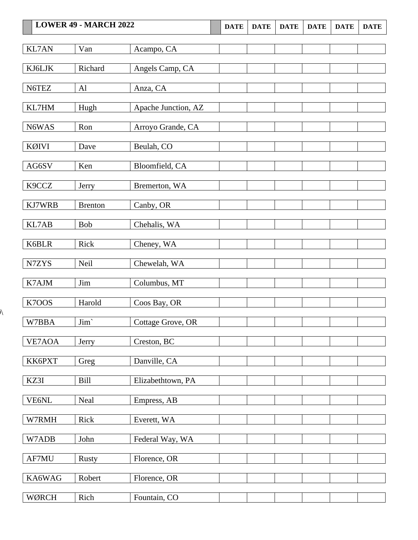# **LOWER 49 • MARCH 2022 DATE DATE DATE DATE DATE DATE DATE** KL7AN Van Acampo, CA KJ6LJK Richard Angels Camp, CA N6TEZ Al Anza, CA KL7HM | Hugh | Apache Junction, AZ

N6WAS Ron Arroyo Grande, CA

WØRCH Rich Fountain, CO

 $\hat{N}$ 

| KØIVI  | Dave           | Beulah, CO        |  |  |  |
|--------|----------------|-------------------|--|--|--|
|        |                |                   |  |  |  |
| AG6SV  | Ken            | Bloomfield, CA    |  |  |  |
|        |                |                   |  |  |  |
| K9CCZ  | Jerry          | Bremerton, WA     |  |  |  |
|        |                |                   |  |  |  |
| KJ7WRB | <b>Brenton</b> | Canby, OR         |  |  |  |
|        |                |                   |  |  |  |
| KL7AB  | Bob            | Chehalis, WA      |  |  |  |
|        |                |                   |  |  |  |
| K6BLR  | Rick           | Cheney, WA        |  |  |  |
|        |                |                   |  |  |  |
| N7ZYS  | Neil           | Chewelah, WA      |  |  |  |
|        |                |                   |  |  |  |
| K7AJM  | Jim            | Columbus, MT      |  |  |  |
|        |                |                   |  |  |  |
| K7OOS  | Harold         | Coos Bay, OR      |  |  |  |
|        |                |                   |  |  |  |
| W7BBA  | Jim'           | Cottage Grove, OR |  |  |  |
|        |                |                   |  |  |  |
| VE7AOA | Jerry          | Creston, BC       |  |  |  |
|        |                |                   |  |  |  |
| KK6PXT | Greg           | Danville, CA      |  |  |  |
|        |                |                   |  |  |  |
| KZ3I   | <b>Bill</b>    | Elizabethtown, PA |  |  |  |
|        |                |                   |  |  |  |
| VE6NL  | Neal           | Empress, AB       |  |  |  |
|        |                |                   |  |  |  |
| W7RMH  | Rick           | Everett, WA       |  |  |  |
|        |                |                   |  |  |  |
| W7ADB  | John           | Federal Way, WA   |  |  |  |
|        |                |                   |  |  |  |
| AF7MU  | Rusty          | Florence, OR      |  |  |  |
|        |                |                   |  |  |  |
| KA6WAG | Robert         | Florence, OR      |  |  |  |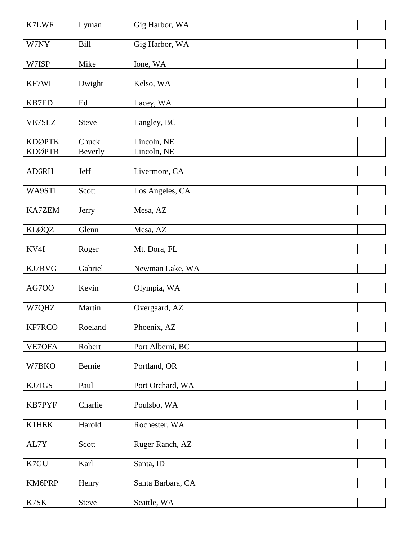| K7LWF                             | Lyman            | Gig Harbor, WA             |  |  |  |
|-----------------------------------|------------------|----------------------------|--|--|--|
| W7NY                              | Bill             | Gig Harbor, WA             |  |  |  |
| W7ISP                             | Mike             | Ione, WA                   |  |  |  |
|                                   |                  |                            |  |  |  |
| KF7WI                             | Dwight           | Kelso, WA                  |  |  |  |
| KB7ED                             | Ed               | Lacey, WA                  |  |  |  |
| VE7SLZ                            | Steve            | Langley, BC                |  |  |  |
|                                   |                  |                            |  |  |  |
| <b>KDØPTK</b><br><b>KDØPTR</b>    | Chuck<br>Beverly | Lincoln, NE<br>Lincoln, NE |  |  |  |
|                                   |                  |                            |  |  |  |
| AD6RH                             | Jeff             | Livermore, CA              |  |  |  |
| WA9STI                            | Scott            | Los Angeles, CA            |  |  |  |
|                                   |                  |                            |  |  |  |
| <b>KA7ZEM</b>                     | Jerry            | Mesa, AZ                   |  |  |  |
| <b>KLØQZ</b>                      | Glenn            | Mesa, AZ                   |  |  |  |
| KV4I                              | Roger            | Mt. Dora, FL               |  |  |  |
|                                   |                  |                            |  |  |  |
| KJ7RVG                            | Gabriel          | Newman Lake, WA            |  |  |  |
| <b>AG700</b>                      | Kevin            | Olympia, WA                |  |  |  |
| W7QHZ                             | Martin           | Overgaard, AZ              |  |  |  |
|                                   |                  |                            |  |  |  |
| KF7RCO                            | Roeland          | Phoenix, AZ                |  |  |  |
| VE7OFA                            | Robert           | Port Alberni, BC           |  |  |  |
|                                   |                  |                            |  |  |  |
| W7BKO                             | Bernie           | Portland, OR               |  |  |  |
| KJ7IGS                            | Paul             | Port Orchard, WA           |  |  |  |
| KB7PYF                            | Charlie          | Poulsbo, WA                |  |  |  |
|                                   |                  |                            |  |  |  |
| <b>K1HEK</b>                      | Harold           | Rochester, WA              |  |  |  |
| AL7Y                              | Scott            | Ruger Ranch, AZ            |  |  |  |
| K7GU                              | Karl             | Santa, ID                  |  |  |  |
|                                   |                  |                            |  |  |  |
| KM6PRP                            | Henry            | Santa Barbara, CA          |  |  |  |
| $\ensuremath{\text{K7SK}}\xspace$ | Steve            | Seattle, WA                |  |  |  |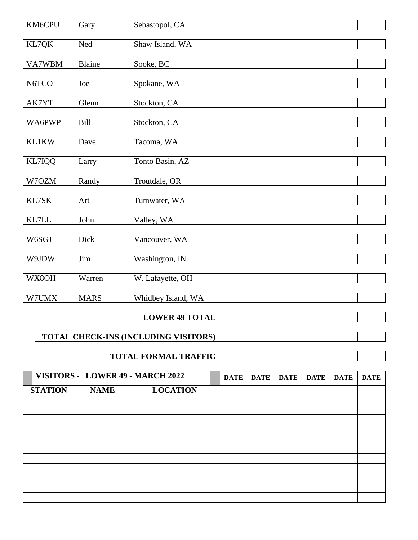| KM6CPU | Gary          | Sebastopol, CA                       |  |  |  |
|--------|---------------|--------------------------------------|--|--|--|
| KL7QK  | Ned           | Shaw Island, WA                      |  |  |  |
| VA7WBM | <b>Blaine</b> | Sooke, BC                            |  |  |  |
| N6TCO  | Joe           | Spokane, WA                          |  |  |  |
| AK7YT  | Glenn         | Stockton, CA                         |  |  |  |
| WA6PWP | <b>Bill</b>   | Stockton, CA                         |  |  |  |
| KL1KW  | Dave          | Tacoma, WA                           |  |  |  |
| KL7IQQ | Larry         | Tonto Basin, AZ                      |  |  |  |
| W7OZM  | Randy         | Troutdale, OR                        |  |  |  |
| KL7SK  | Art           | Tumwater, WA                         |  |  |  |
| KL7LL  | John          | Valley, WA                           |  |  |  |
| W6SGJ  | Dick          | Vancouver, WA                        |  |  |  |
| W9JDW  | Jim           | Washington, IN                       |  |  |  |
| WX8OH  | Warren        | W. Lafayette, OH                     |  |  |  |
| W7UMX  | <b>MARS</b>   | Whidbey Island, WA                   |  |  |  |
|        |               | <b>LOWER 49 TOTAL</b>                |  |  |  |
|        |               | TOTAL CHECK-INS (INCLUDING VISITORS) |  |  |  |
|        |               | <b>TOTAL FORMAL TRAFFIC</b>          |  |  |  |

| VISITORS - LOWER 49 - MARCH 2022 |             | <b>DATE</b>     | <b>DATE</b> | <b>DATE</b> | <b>DATE</b> | <b>DATE</b> | <b>DATE</b> |  |
|----------------------------------|-------------|-----------------|-------------|-------------|-------------|-------------|-------------|--|
| <b>STATION</b>                   | <b>NAME</b> | <b>LOCATION</b> |             |             |             |             |             |  |
|                                  |             |                 |             |             |             |             |             |  |
|                                  |             |                 |             |             |             |             |             |  |
|                                  |             |                 |             |             |             |             |             |  |
|                                  |             |                 |             |             |             |             |             |  |
|                                  |             |                 |             |             |             |             |             |  |
|                                  |             |                 |             |             |             |             |             |  |
|                                  |             |                 |             |             |             |             |             |  |
|                                  |             |                 |             |             |             |             |             |  |
|                                  |             |                 |             |             |             |             |             |  |
|                                  |             |                 |             |             |             |             |             |  |
|                                  |             |                 |             |             |             |             |             |  |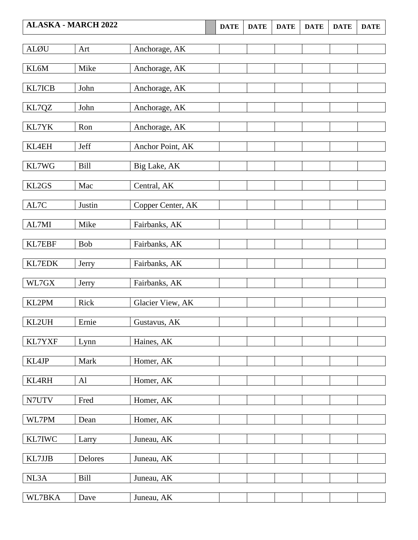|               | <b>ALASKA - MARCH 2022</b> |                   | <b>DATE</b> | <b>DATE</b> | <b>DATE</b> | <b>DATE</b> | <b>DATE</b> | <b>DATE</b> |
|---------------|----------------------------|-------------------|-------------|-------------|-------------|-------------|-------------|-------------|
| <b>ALØU</b>   | Art                        | Anchorage, AK     |             |             |             |             |             |             |
| KL6M          | Mike                       | Anchorage, AK     |             |             |             |             |             |             |
| KL7ICB        | John                       | Anchorage, AK     |             |             |             |             |             |             |
| KL7QZ         | John                       | Anchorage, AK     |             |             |             |             |             |             |
| KL7YK         | Ron                        | Anchorage, AK     |             |             |             |             |             |             |
| <b>KL4EH</b>  | Jeff                       | Anchor Point, AK  |             |             |             |             |             |             |
| KL7WG         | Bill                       | Big Lake, AK      |             |             |             |             |             |             |
| KL2GS         | Mac                        | Central, AK       |             |             |             |             |             |             |
| AL7C          | Justin                     | Copper Center, AK |             |             |             |             |             |             |
| AL7MI         | Mike                       | Fairbanks, AK     |             |             |             |             |             |             |
| <b>KL7EBF</b> | <b>Bob</b>                 | Fairbanks, AK     |             |             |             |             |             |             |
| <b>KL7EDK</b> | Jerry                      | Fairbanks, AK     |             |             |             |             |             |             |
| WL7GX         | Jerry                      | Fairbanks, AK     |             |             |             |             |             |             |
| KL2PM         | Rick                       | Glacier View, AK  |             |             |             |             |             |             |
| KL2UH         | Ernie                      | Gustavus, AK      |             |             |             |             |             |             |
| KL7YXF        | Lynn                       | Haines, AK        |             |             |             |             |             |             |
| KL4JP         | Mark                       | Homer, AK         |             |             |             |             |             |             |
| KL4RH         | Al                         | Homer, AK         |             |             |             |             |             |             |
| N7UTV         | Fred                       | Homer, AK         |             |             |             |             |             |             |
| WL7PM         | Dean                       | Homer, AK         |             |             |             |             |             |             |
| KL7IWC        | Larry                      | Juneau, AK        |             |             |             |             |             |             |
| KL7JJB        | Delores                    | Juneau, AK        |             |             |             |             |             |             |
| NL3A          | Bill                       | Juneau, AK        |             |             |             |             |             |             |
| WL7BKA        | Dave                       | Juneau, AK        |             |             |             |             |             |             |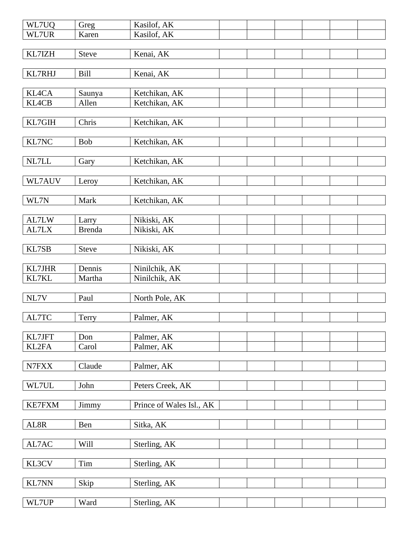| WL7UQ         | Greg          | Kasilof, AK              |  |  |  |
|---------------|---------------|--------------------------|--|--|--|
| WL7UR         | Karen         | Kasilof, AK              |  |  |  |
|               |               |                          |  |  |  |
| KL7IZH        | <b>Steve</b>  | Kenai, AK                |  |  |  |
|               |               |                          |  |  |  |
| KL7RHJ        | <b>Bill</b>   | Kenai, AK                |  |  |  |
|               |               |                          |  |  |  |
| KL4CA         | Saunya        | Ketchikan, AK            |  |  |  |
| KL4CB         | Allen         | Ketchikan, AK            |  |  |  |
|               |               |                          |  |  |  |
| KL7GIH        | Chris         | Ketchikan, AK            |  |  |  |
|               |               |                          |  |  |  |
| KL7NC         | <b>Bob</b>    | Ketchikan, AK            |  |  |  |
|               |               |                          |  |  |  |
| NL7LL         | Gary          | Ketchikan, AK            |  |  |  |
|               |               |                          |  |  |  |
| WL7AUV        | Leroy         | Ketchikan, AK            |  |  |  |
|               |               |                          |  |  |  |
| WL7N          | Mark          | Ketchikan, AK            |  |  |  |
|               |               |                          |  |  |  |
| AL7LW         | Larry         | Nikiski, AK              |  |  |  |
| AL7LX         | <b>Brenda</b> | Nikiski, AK              |  |  |  |
|               |               |                          |  |  |  |
| KL7SB         | <b>Steve</b>  | Nikiski, AK              |  |  |  |
|               |               |                          |  |  |  |
| KL7JHR        | Dennis        | Ninilchik, AK            |  |  |  |
| KL7KL         | Martha        | Ninilchik, AK            |  |  |  |
|               |               |                          |  |  |  |
| NL7V          | Paul          | North Pole, AK           |  |  |  |
|               |               |                          |  |  |  |
| AL7TC         |               | Palmer, AK               |  |  |  |
|               | Terry         |                          |  |  |  |
| KL7JFT        | Don           | Palmer, AK               |  |  |  |
|               |               |                          |  |  |  |
| KL2FA         | Carol         | Palmer, AK               |  |  |  |
|               |               |                          |  |  |  |
| ${\rm N7FXX}$ | Claude        | Palmer, AK               |  |  |  |
|               |               |                          |  |  |  |
| WL7UL         | John          | Peters Creek, AK         |  |  |  |
|               |               |                          |  |  |  |
| <b>KE7FXM</b> | Jimmy         | Prince of Wales Isl., AK |  |  |  |
|               |               |                          |  |  |  |
| AL8R          | Ben           | Sitka, AK                |  |  |  |
|               |               |                          |  |  |  |
| AL7AC         | Will          | Sterling, AK             |  |  |  |
|               |               |                          |  |  |  |
| KL3CV         | Tim           | Sterling, AK             |  |  |  |
|               |               |                          |  |  |  |
| <b>KL7NN</b>  | Skip          | Sterling, AK             |  |  |  |
|               |               |                          |  |  |  |
| WL7UP         | Ward          | Sterling, AK             |  |  |  |